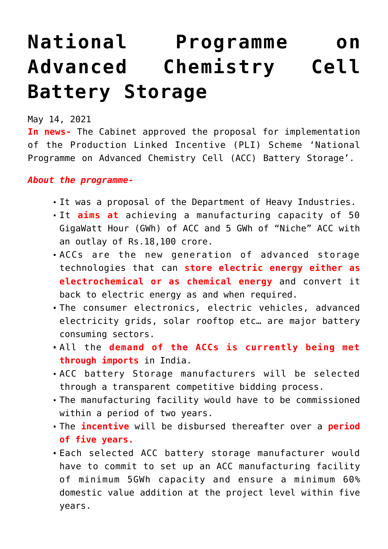## **[National Programme on](https://journalsofindia.com/national-programme-on-advanced-chemistry-cell-battery-storage/) [Advanced Chemistry Cell](https://journalsofindia.com/national-programme-on-advanced-chemistry-cell-battery-storage/) [Battery Storage](https://journalsofindia.com/national-programme-on-advanced-chemistry-cell-battery-storage/)**

May 14, 2021

**In news-** The Cabinet approved the proposal for implementation of the Production Linked Incentive (PLI) Scheme 'National Programme on Advanced Chemistry Cell (ACC) Battery Storage'.

## *About the programme-*

- It was a proposal of the Department of Heavy Industries.
- It **aims at** achieving a manufacturing capacity of 50 GigaWatt Hour (GWh) of ACC and 5 GWh of "Niche" ACC with an outlay of Rs.18,100 crore.
- ACCs are the new generation of advanced storage technologies that can **store electric energy either as electrochemical or as chemical energy** and convert it back to electric energy as and when required.
- The consumer electronics, electric vehicles, advanced electricity grids, solar rooftop etc… are major battery consuming sectors.
- All the **demand of the ACCs is currently being met through imports** in India.
- ACC battery Storage manufacturers will be selected through a transparent competitive bidding process.
- The manufacturing facility would have to be commissioned within a period of two years.
- The **incentive** will be disbursed thereafter over a **period of five years.**
- Each selected ACC battery storage manufacturer would have to commit to set up an ACC manufacturing facility of minimum 5GWh capacity and ensure a minimum 60% domestic value addition at the project level within five years.